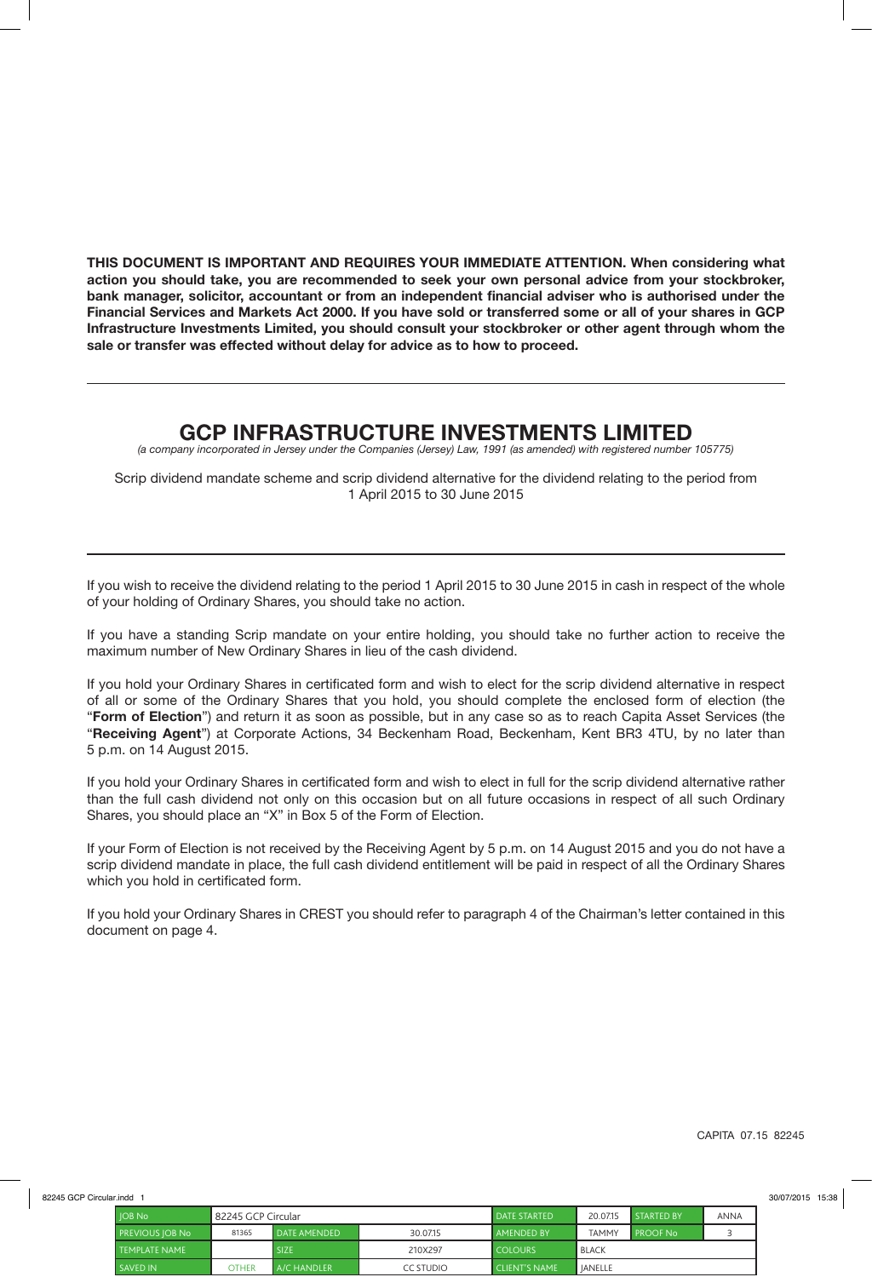**THIS DOCUMENT IS IMPORTANT AND REQUIRES YOUR IMMEDIATE ATTENTION. When considering what action you should take, you are recommended to seek your own personal advice from your stockbroker, bank manager, solicitor, accountant or from an independent financial adviser who is authorised under the Financial Services and Markets Act 2000. If you have sold or transferred some or all of your shares in GCP Infrastructure Investments Limited, you should consult your stockbroker or other agent through whom the sale or transfer was effected without delay for advice as to how to proceed.**

# **GCP INFRASTRUCTURE INVESTMENTS LIMITED**

*(a company incorporated in Jersey under the Companies (Jersey) Law, 1991 (as amended) with registered number 105775)*

Scrip dividend mandate scheme and scrip dividend alternative for the dividend relating to the period from 1 April 2015 to 30 June 2015

If you wish to receive the dividend relating to the period 1 April 2015 to 30 June 2015 in cash in respect of the whole of your holding of Ordinary Shares, you should take no action.

If you have a standing Scrip mandate on your entire holding, you should take no further action to receive the maximum number of New Ordinary Shares in lieu of the cash dividend.

If you hold your Ordinary Shares in certificated form and wish to elect for the scrip dividend alternative in respect of all or some of the Ordinary Shares that you hold, you should complete the enclosed form of election (the "**Form of Election**") and return it as soon as possible, but in any case so as to reach Capita Asset Services (the "**Receiving Agent**") at Corporate Actions, 34 Beckenham Road, Beckenham, Kent BR3 4TU, by no later than 5 p.m. on 14 August 2015.

If you hold your Ordinary Shares in certificated form and wish to elect in full for the scrip dividend alternative rather than the full cash dividend not only on this occasion but on all future occasions in respect of all such Ordinary Shares, you should place an "X" in Box 5 of the Form of Election.

If your Form of Election is not received by the Receiving Agent by 5 p.m. on 14 August 2015 and you do not have a scrip dividend mandate in place, the full cash dividend entitlement will be paid in respect of all the Ordinary Shares which you hold in certificated form.

If you hold your Ordinary Shares in CREST you should refer to paragraph 4 of the Chairman's letter contained in this document on page 4.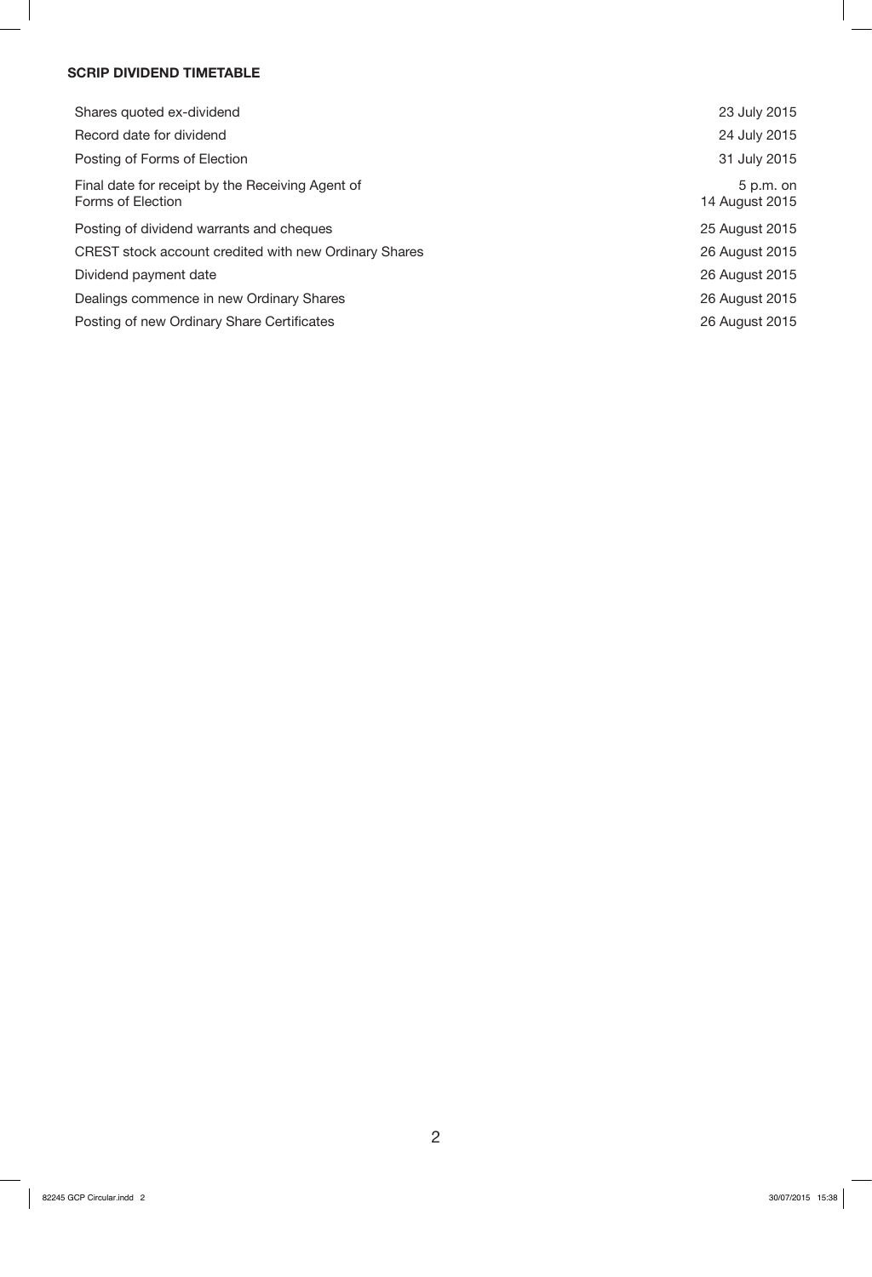# **SCRIP DIVIDEND TIMETABLE**

| Shares quoted ex-dividend                                             | 23 July 2015                  |
|-----------------------------------------------------------------------|-------------------------------|
| Record date for dividend                                              | 24 July 2015                  |
| Posting of Forms of Election                                          | 31 July 2015                  |
| Final date for receipt by the Receiving Agent of<br>Forms of Election | $5 p.m.$ on<br>14 August 2015 |
| Posting of dividend warrants and cheques                              | 25 August 2015                |
| CREST stock account credited with new Ordinary Shares                 | 26 August 2015                |
| Dividend payment date                                                 | 26 August 2015                |
| Dealings commence in new Ordinary Shares                              | 26 August 2015                |
| Posting of new Ordinary Share Certificates                            | 26 August 2015                |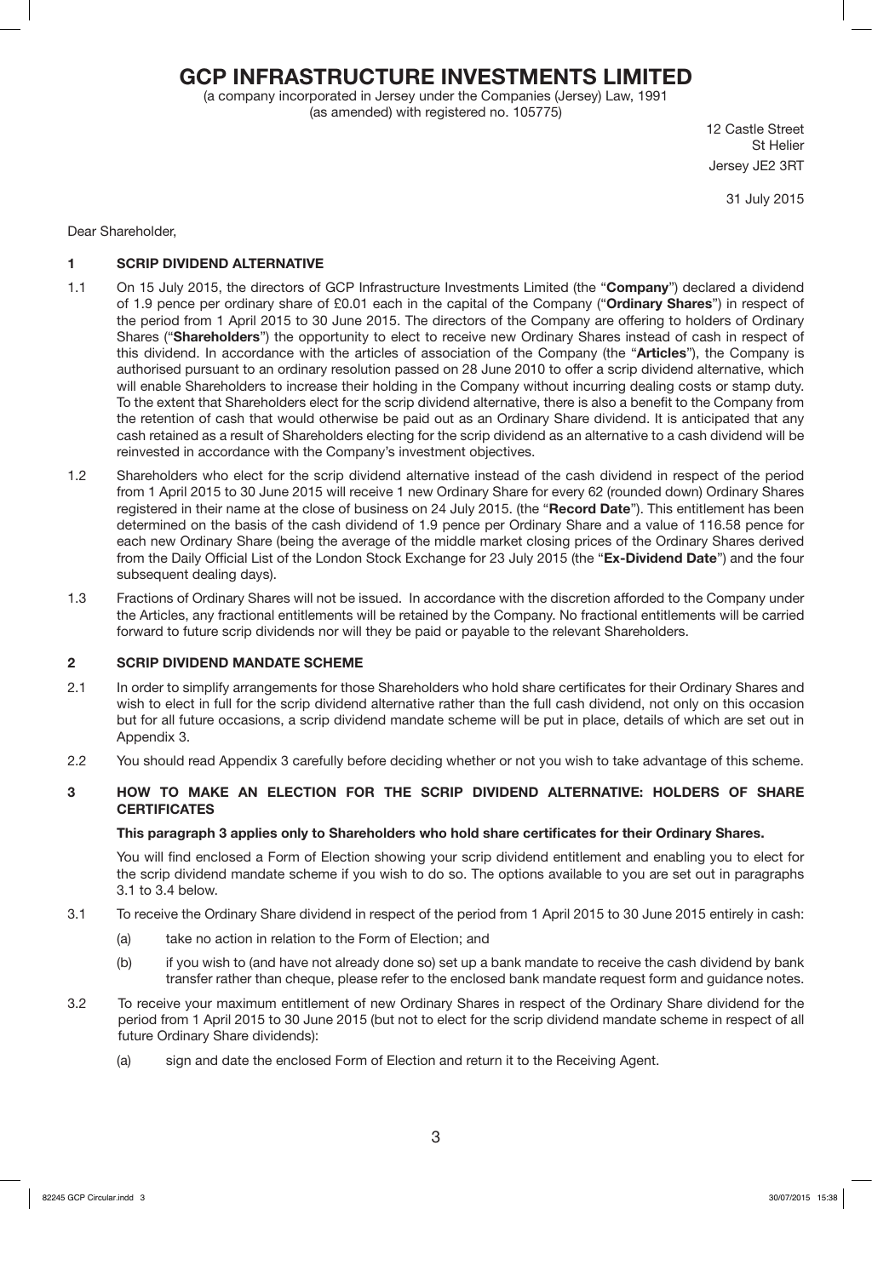# **GCP INFRASTRUCTURE INVESTMENTS LIMITED**

(a company incorporated in Jersey under the Companies (Jersey) Law, 1991 (as amended) with registered no. 105775)

12 Castle Street St Helier Jersey JE2 3RT

31 July 2015

Dear Shareholder,

# **1 SCRIP DIVIDEND ALTERNATIVE**

- 1.1 On 15 July 2015, the directors of GCP Infrastructure Investments Limited (the "**Company**") declared a dividend of 1.9 pence per ordinary share of £0.01 each in the capital of the Company ("**Ordinary Shares**") in respect of the period from 1 April 2015 to 30 June 2015. The directors of the Company are offering to holders of Ordinary Shares ("**Shareholders**") the opportunity to elect to receive new Ordinary Shares instead of cash in respect of this dividend. In accordance with the articles of association of the Company (the "**Articles**"), the Company is authorised pursuant to an ordinary resolution passed on 28 June 2010 to offer a scrip dividend alternative, which will enable Shareholders to increase their holding in the Company without incurring dealing costs or stamp duty. To the extent that Shareholders elect for the scrip dividend alternative, there is also a benefit to the Company from the retention of cash that would otherwise be paid out as an Ordinary Share dividend. It is anticipated that any cash retained as a result of Shareholders electing for the scrip dividend as an alternative to a cash dividend will be reinvested in accordance with the Company's investment objectives.
- 1.2 Shareholders who elect for the scrip dividend alternative instead of the cash dividend in respect of the period from 1 April 2015 to 30 June 2015 will receive 1 new Ordinary Share for every 62 (rounded down) Ordinary Shares registered in their name at the close of business on 24 July 2015. (the "**Record Date**"). This entitlement has been determined on the basis of the cash dividend of 1.9 pence per Ordinary Share and a value of 116.58 pence for each new Ordinary Share (being the average of the middle market closing prices of the Ordinary Shares derived from the Daily Official List of the London Stock Exchange for 23 July 2015 (the "**Ex-Dividend Date**") and the four subsequent dealing days).
- 1.3 Fractions of Ordinary Shares will not be issued. In accordance with the discretion afforded to the Company under the Articles, any fractional entitlements will be retained by the Company. No fractional entitlements will be carried forward to future scrip dividends nor will they be paid or payable to the relevant Shareholders.

### **2 SCRIP DIVIDEND MANDATE SCHEME**

- 2.1 In order to simplify arrangements for those Shareholders who hold share certificates for their Ordinary Shares and wish to elect in full for the scrip dividend alternative rather than the full cash dividend, not only on this occasion but for all future occasions, a scrip dividend mandate scheme will be put in place, details of which are set out in Appendix 3.
- 2.2 You should read Appendix 3 carefully before deciding whether or not you wish to take advantage of this scheme.

### **3 HOW TO MAKE AN ELECTION FOR THE SCRIP DIVIDEND ALTERNATIVE: HOLDERS OF SHARE CERTIFICATES**

### **This paragraph 3 applies only to Shareholders who hold share certificates for their Ordinary Shares.**

You will find enclosed a Form of Election showing your scrip dividend entitlement and enabling you to elect for the scrip dividend mandate scheme if you wish to do so. The options available to you are set out in paragraphs 3.1 to 3.4 below.

- 3.1 To receive the Ordinary Share dividend in respect of the period from 1 April 2015 to 30 June 2015 entirely in cash:
	- (a) take no action in relation to the Form of Election; and
	- (b) if you wish to (and have not already done so) set up a bank mandate to receive the cash dividend by bank transfer rather than cheque, please refer to the enclosed bank mandate request form and guidance notes.
- 3.2 To receive your maximum entitlement of new Ordinary Shares in respect of the Ordinary Share dividend for the period from 1 April 2015 to 30 June 2015 (but not to elect for the scrip dividend mandate scheme in respect of all future Ordinary Share dividends):
	- (a) sign and date the enclosed Form of Election and return it to the Receiving Agent.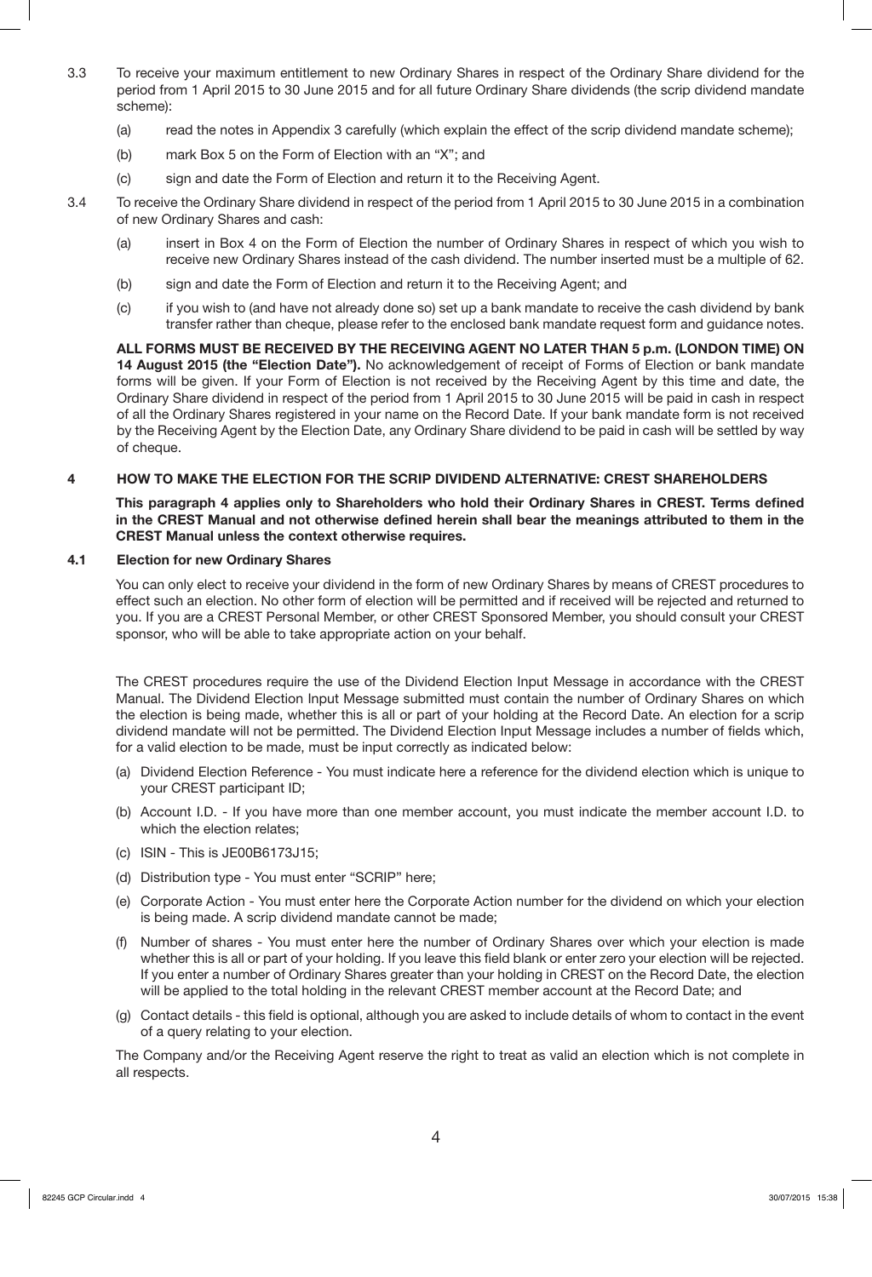- 3.3 To receive your maximum entitlement to new Ordinary Shares in respect of the Ordinary Share dividend for the period from 1 April 2015 to 30 June 2015 and for all future Ordinary Share dividends (the scrip dividend mandate scheme):
	- (a) read the notes in Appendix 3 carefully (which explain the effect of the scrip dividend mandate scheme);
	- (b) mark Box 5 on the Form of Election with an "X"; and
	- (c) sign and date the Form of Election and return it to the Receiving Agent.
- 3.4 To receive the Ordinary Share dividend in respect of the period from 1 April 2015 to 30 June 2015 in a combination of new Ordinary Shares and cash:
	- (a) insert in Box 4 on the Form of Election the number of Ordinary Shares in respect of which you wish to receive new Ordinary Shares instead of the cash dividend. The number inserted must be a multiple of 62.
	- (b) sign and date the Form of Election and return it to the Receiving Agent; and
	- (c) if you wish to (and have not already done so) set up a bank mandate to receive the cash dividend by bank transfer rather than cheque, please refer to the enclosed bank mandate request form and guidance notes.

**ALL FORMS MUST BE RECEIVED BY THE RECEIVING AGENT NO LATER THAN 5 p.m. (LONDON TIME) ON 14 August 2015 (the "Election Date").** No acknowledgement of receipt of Forms of Election or bank mandate forms will be given. If your Form of Election is not received by the Receiving Agent by this time and date, the Ordinary Share dividend in respect of the period from 1 April 2015 to 30 June 2015 will be paid in cash in respect of all the Ordinary Shares registered in your name on the Record Date. If your bank mandate form is not received by the Receiving Agent by the Election Date, any Ordinary Share dividend to be paid in cash will be settled by way of cheque.

# **4 HOW TO MAKE THE ELECTION FOR THE SCRIP DIVIDEND ALTERNATIVE: CREST SHAREHOLDERS**

**This paragraph 4 applies only to Shareholders who hold their Ordinary Shares in CREST. Terms defined in the CREST Manual and not otherwise defined herein shall bear the meanings attributed to them in the CREST Manual unless the context otherwise requires.** 

# **4.1 Election for new Ordinary Shares**

You can only elect to receive your dividend in the form of new Ordinary Shares by means of CREST procedures to effect such an election. No other form of election will be permitted and if received will be rejected and returned to you. If you are a CREST Personal Member, or other CREST Sponsored Member, you should consult your CREST sponsor, who will be able to take appropriate action on your behalf.

The CREST procedures require the use of the Dividend Election Input Message in accordance with the CREST Manual. The Dividend Election Input Message submitted must contain the number of Ordinary Shares on which the election is being made, whether this is all or part of your holding at the Record Date. An election for a scrip dividend mandate will not be permitted. The Dividend Election Input Message includes a number of fields which, for a valid election to be made, must be input correctly as indicated below:

- (a) Dividend Election Reference You must indicate here a reference for the dividend election which is unique to your CREST participant ID;
- (b) Account I.D. If you have more than one member account, you must indicate the member account I.D. to which the election relates;
- (c) ISIN This is JE00B6173J15;
- (d) Distribution type You must enter "SCRIP" here;
- (e) Corporate Action You must enter here the Corporate Action number for the dividend on which your election is being made. A scrip dividend mandate cannot be made;
- (f) Number of shares You must enter here the number of Ordinary Shares over which your election is made whether this is all or part of your holding. If you leave this field blank or enter zero your election will be rejected. If you enter a number of Ordinary Shares greater than your holding in CREST on the Record Date, the election will be applied to the total holding in the relevant CREST member account at the Record Date; and
- (g) Contact details this field is optional, although you are asked to include details of whom to contact in the event of a query relating to your election.

The Company and/or the Receiving Agent reserve the right to treat as valid an election which is not complete in all respects.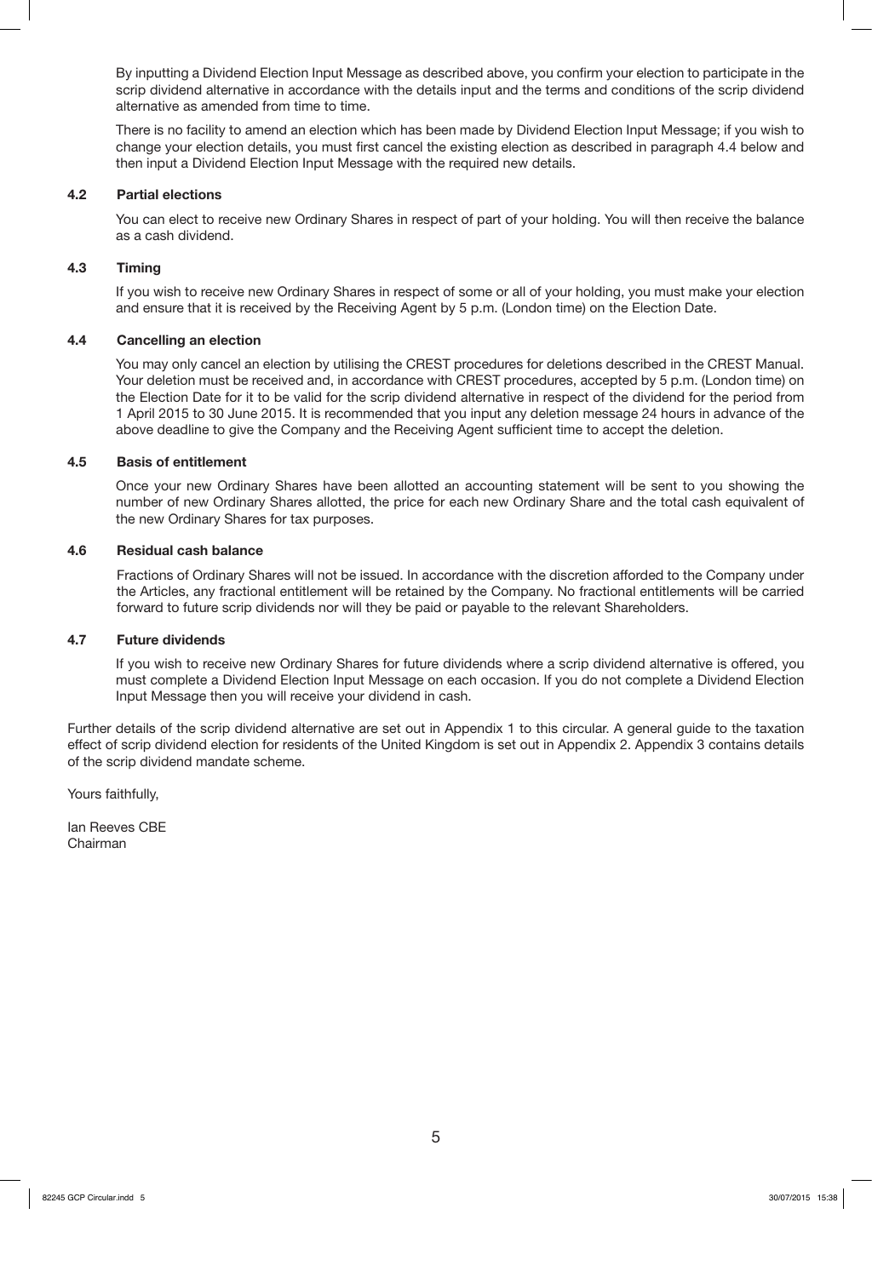By inputting a Dividend Election Input Message as described above, you confirm your election to participate in the scrip dividend alternative in accordance with the details input and the terms and conditions of the scrip dividend alternative as amended from time to time.

There is no facility to amend an election which has been made by Dividend Election Input Message; if you wish to change your election details, you must first cancel the existing election as described in paragraph 4.4 below and then input a Dividend Election Input Message with the required new details.

#### **4.2 Partial elections**

You can elect to receive new Ordinary Shares in respect of part of your holding. You will then receive the balance as a cash dividend.

#### **4.3 Timing**

If you wish to receive new Ordinary Shares in respect of some or all of your holding, you must make your election and ensure that it is received by the Receiving Agent by 5 p.m. (London time) on the Election Date.

#### **4.4 Cancelling an election**

You may only cancel an election by utilising the CREST procedures for deletions described in the CREST Manual. Your deletion must be received and, in accordance with CREST procedures, accepted by 5 p.m. (London time) on the Election Date for it to be valid for the scrip dividend alternative in respect of the dividend for the period from 1 April 2015 to 30 June 2015. It is recommended that you input any deletion message 24 hours in advance of the above deadline to give the Company and the Receiving Agent sufficient time to accept the deletion.

#### **4.5 Basis of entitlement**

Once your new Ordinary Shares have been allotted an accounting statement will be sent to you showing the number of new Ordinary Shares allotted, the price for each new Ordinary Share and the total cash equivalent of the new Ordinary Shares for tax purposes.

#### **4.6 Residual cash balance**

Fractions of Ordinary Shares will not be issued. In accordance with the discretion afforded to the Company under the Articles, any fractional entitlement will be retained by the Company. No fractional entitlements will be carried forward to future scrip dividends nor will they be paid or payable to the relevant Shareholders.

#### **4.7 Future dividends**

If you wish to receive new Ordinary Shares for future dividends where a scrip dividend alternative is offered, you must complete a Dividend Election Input Message on each occasion. If you do not complete a Dividend Election Input Message then you will receive your dividend in cash.

Further details of the scrip dividend alternative are set out in Appendix 1 to this circular. A general guide to the taxation effect of scrip dividend election for residents of the United Kingdom is set out in Appendix 2. Appendix 3 contains details of the scrip dividend mandate scheme.

Yours faithfully,

Ian Reeves CBE Chairman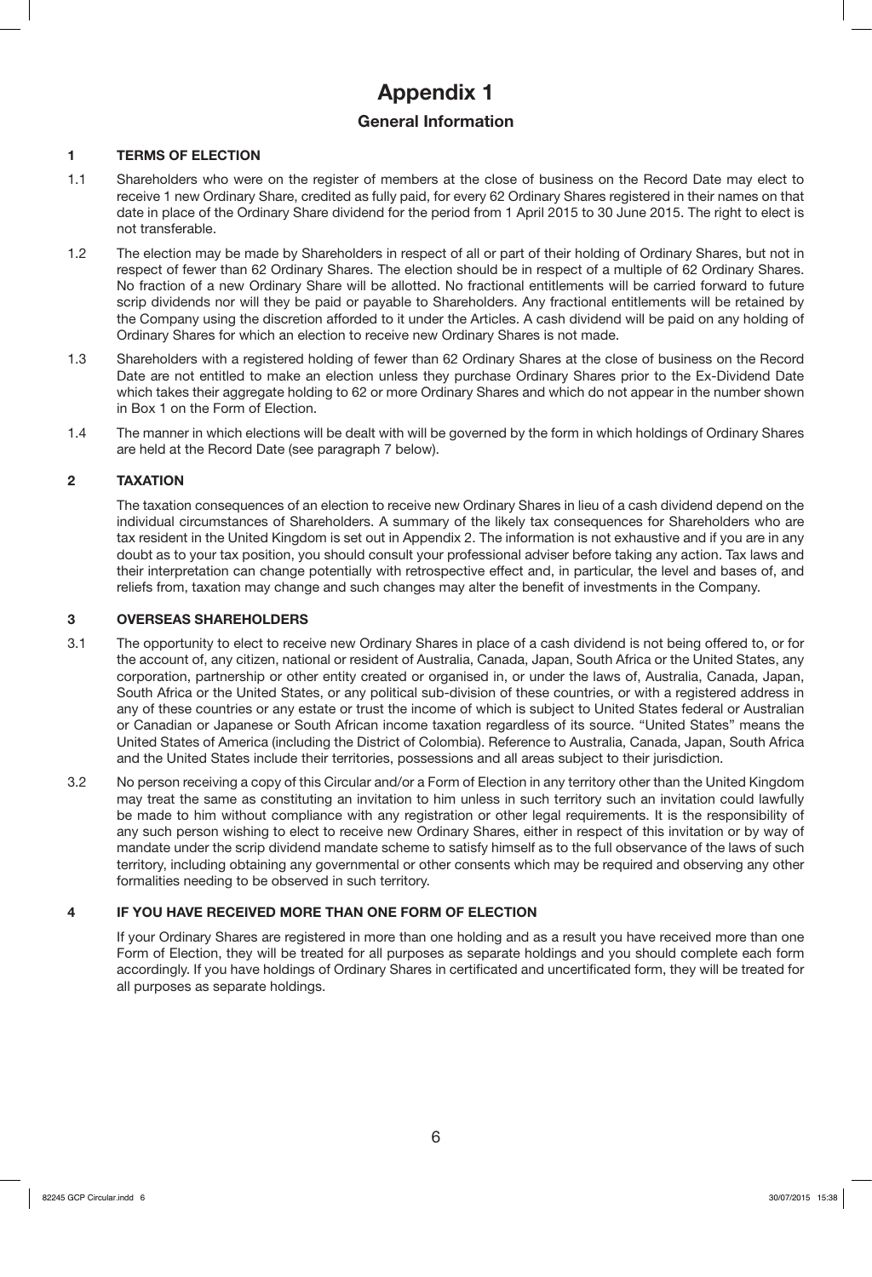# **Appendix 1**

# **General Information**

# **1 TERMS OF ELECTION**

- 1.1 Shareholders who were on the register of members at the close of business on the Record Date may elect to receive 1 new Ordinary Share, credited as fully paid, for every 62 Ordinary Shares registered in their names on that date in place of the Ordinary Share dividend for the period from 1 April 2015 to 30 June 2015. The right to elect is not transferable.
- 1.2 The election may be made by Shareholders in respect of all or part of their holding of Ordinary Shares, but not in respect of fewer than 62 Ordinary Shares. The election should be in respect of a multiple of 62 Ordinary Shares. No fraction of a new Ordinary Share will be allotted. No fractional entitlements will be carried forward to future scrip dividends nor will they be paid or payable to Shareholders. Any fractional entitlements will be retained by the Company using the discretion afforded to it under the Articles. A cash dividend will be paid on any holding of Ordinary Shares for which an election to receive new Ordinary Shares is not made.
- 1.3 Shareholders with a registered holding of fewer than 62 Ordinary Shares at the close of business on the Record Date are not entitled to make an election unless they purchase Ordinary Shares prior to the Ex-Dividend Date which takes their aggregate holding to 62 or more Ordinary Shares and which do not appear in the number shown in Box 1 on the Form of Election.
- 1.4 The manner in which elections will be dealt with will be governed by the form in which holdings of Ordinary Shares are held at the Record Date (see paragraph 7 below).

# **2 TAXATION**

 The taxation consequences of an election to receive new Ordinary Shares in lieu of a cash dividend depend on the individual circumstances of Shareholders. A summary of the likely tax consequences for Shareholders who are tax resident in the United Kingdom is set out in Appendix 2. The information is not exhaustive and if you are in any doubt as to your tax position, you should consult your professional adviser before taking any action. Tax laws and their interpretation can change potentially with retrospective effect and, in particular, the level and bases of, and reliefs from, taxation may change and such changes may alter the benefit of investments in the Company.

### **3 OVERSEAS SHAREHOLDERS**

- 3.1 The opportunity to elect to receive new Ordinary Shares in place of a cash dividend is not being offered to, or for the account of, any citizen, national or resident of Australia, Canada, Japan, South Africa or the United States, any corporation, partnership or other entity created or organised in, or under the laws of, Australia, Canada, Japan, South Africa or the United States, or any political sub-division of these countries, or with a registered address in any of these countries or any estate or trust the income of which is subject to United States federal or Australian or Canadian or Japanese or South African income taxation regardless of its source. "United States" means the United States of America (including the District of Colombia). Reference to Australia, Canada, Japan, South Africa and the United States include their territories, possessions and all areas subject to their jurisdiction.
- 3.2 No person receiving a copy of this Circular and/or a Form of Election in any territory other than the United Kingdom may treat the same as constituting an invitation to him unless in such territory such an invitation could lawfully be made to him without compliance with any registration or other legal requirements. It is the responsibility of any such person wishing to elect to receive new Ordinary Shares, either in respect of this invitation or by way of mandate under the scrip dividend mandate scheme to satisfy himself as to the full observance of the laws of such territory, including obtaining any governmental or other consents which may be required and observing any other formalities needing to be observed in such territory.

# **4 IF YOU HAVE RECEIVED MORE THAN ONE FORM OF ELECTION**

If your Ordinary Shares are registered in more than one holding and as a result you have received more than one Form of Election, they will be treated for all purposes as separate holdings and you should complete each form accordingly. If you have holdings of Ordinary Shares in certificated and uncertificated form, they will be treated for all purposes as separate holdings.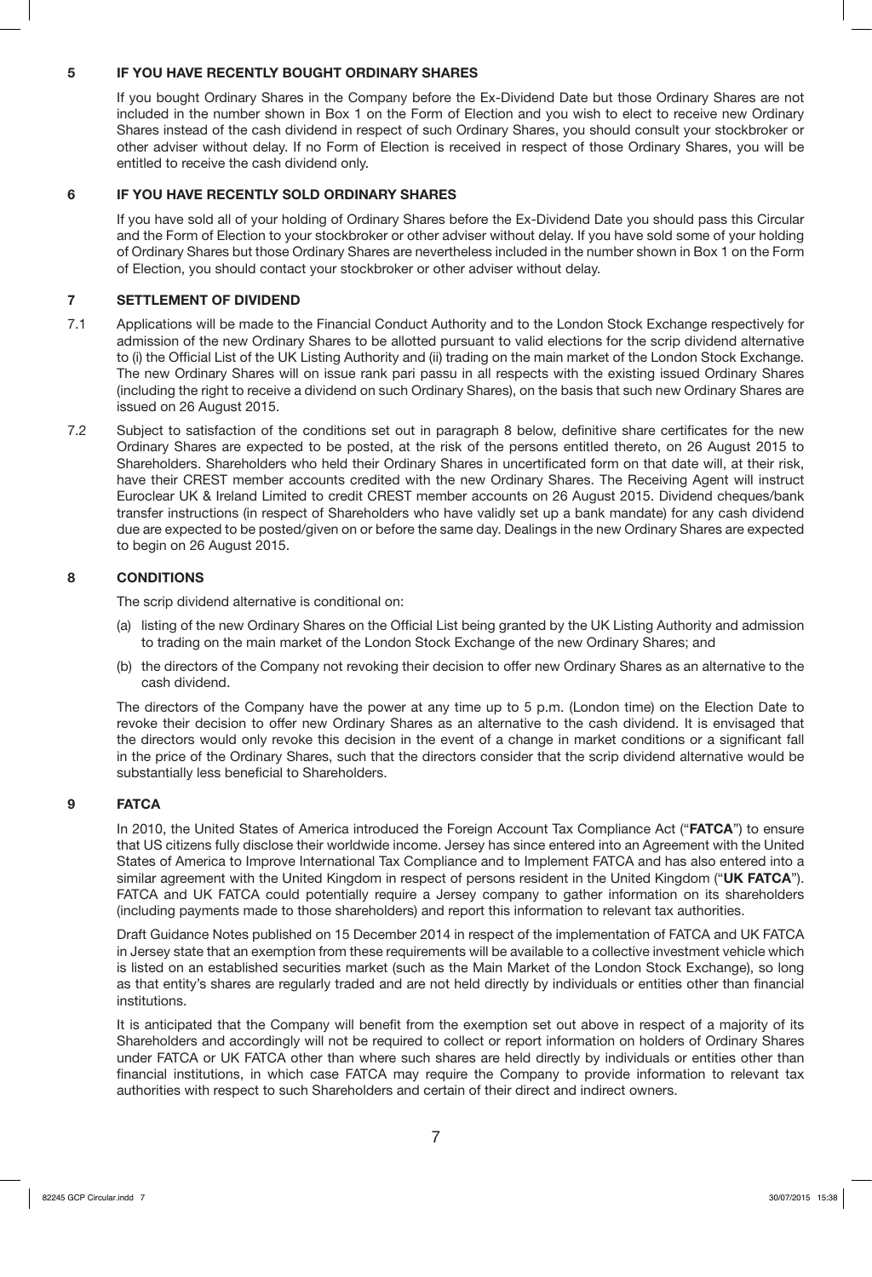## **5 IF YOU HAVE RECENTLY BOUGHT ORDINARY SHARES**

If you bought Ordinary Shares in the Company before the Ex-Dividend Date but those Ordinary Shares are not included in the number shown in Box 1 on the Form of Election and you wish to elect to receive new Ordinary Shares instead of the cash dividend in respect of such Ordinary Shares, you should consult your stockbroker or other adviser without delay. If no Form of Election is received in respect of those Ordinary Shares, you will be entitled to receive the cash dividend only.

## **6 IF YOU HAVE RECENTLY SOLD ORDINARY SHARES**

If you have sold all of your holding of Ordinary Shares before the Ex-Dividend Date you should pass this Circular and the Form of Election to your stockbroker or other adviser without delay. If you have sold some of your holding of Ordinary Shares but those Ordinary Shares are nevertheless included in the number shown in Box 1 on the Form of Election, you should contact your stockbroker or other adviser without delay.

# **7 SETTLEMENT OF DIVIDEND**

- 7.1 Applications will be made to the Financial Conduct Authority and to the London Stock Exchange respectively for admission of the new Ordinary Shares to be allotted pursuant to valid elections for the scrip dividend alternative to (i) the Official List of the UK Listing Authority and (ii) trading on the main market of the London Stock Exchange. The new Ordinary Shares will on issue rank pari passu in all respects with the existing issued Ordinary Shares (including the right to receive a dividend on such Ordinary Shares), on the basis that such new Ordinary Shares are issued on 26 August 2015.
- 7.2 Subject to satisfaction of the conditions set out in paragraph 8 below, definitive share certificates for the new Ordinary Shares are expected to be posted, at the risk of the persons entitled thereto, on 26 August 2015 to Shareholders. Shareholders who held their Ordinary Shares in uncertificated form on that date will, at their risk, have their CREST member accounts credited with the new Ordinary Shares. The Receiving Agent will instruct Euroclear UK & Ireland Limited to credit CREST member accounts on 26 August 2015. Dividend cheques/bank transfer instructions (in respect of Shareholders who have validly set up a bank mandate) for any cash dividend due are expected to be posted/given on or before the same day. Dealings in the new Ordinary Shares are expected to begin on 26 August 2015.

# **8 CONDITIONS**

The scrip dividend alternative is conditional on:

- (a) listing of the new Ordinary Shares on the Official List being granted by the UK Listing Authority and admission to trading on the main market of the London Stock Exchange of the new Ordinary Shares; and
- (b) the directors of the Company not revoking their decision to offer new Ordinary Shares as an alternative to the cash dividend.

The directors of the Company have the power at any time up to 5 p.m. (London time) on the Election Date to revoke their decision to offer new Ordinary Shares as an alternative to the cash dividend. It is envisaged that the directors would only revoke this decision in the event of a change in market conditions or a significant fall in the price of the Ordinary Shares, such that the directors consider that the scrip dividend alternative would be substantially less beneficial to Shareholders.

### **9 FATCA**

In 2010, the United States of America introduced the Foreign Account Tax Compliance Act ("**FATCA**") to ensure that US citizens fully disclose their worldwide income. Jersey has since entered into an Agreement with the United States of America to Improve International Tax Compliance and to Implement FATCA and has also entered into a similar agreement with the United Kingdom in respect of persons resident in the United Kingdom ("**UK FATCA**"). FATCA and UK FATCA could potentially require a Jersey company to gather information on its shareholders (including payments made to those shareholders) and report this information to relevant tax authorities.

Draft Guidance Notes published on 15 December 2014 in respect of the implementation of FATCA and UK FATCA in Jersey state that an exemption from these requirements will be available to a collective investment vehicle which is listed on an established securities market (such as the Main Market of the London Stock Exchange), so long as that entity's shares are regularly traded and are not held directly by individuals or entities other than financial institutions.

It is anticipated that the Company will benefit from the exemption set out above in respect of a majority of its Shareholders and accordingly will not be required to collect or report information on holders of Ordinary Shares under FATCA or UK FATCA other than where such shares are held directly by individuals or entities other than financial institutions, in which case FATCA may require the Company to provide information to relevant tax authorities with respect to such Shareholders and certain of their direct and indirect owners.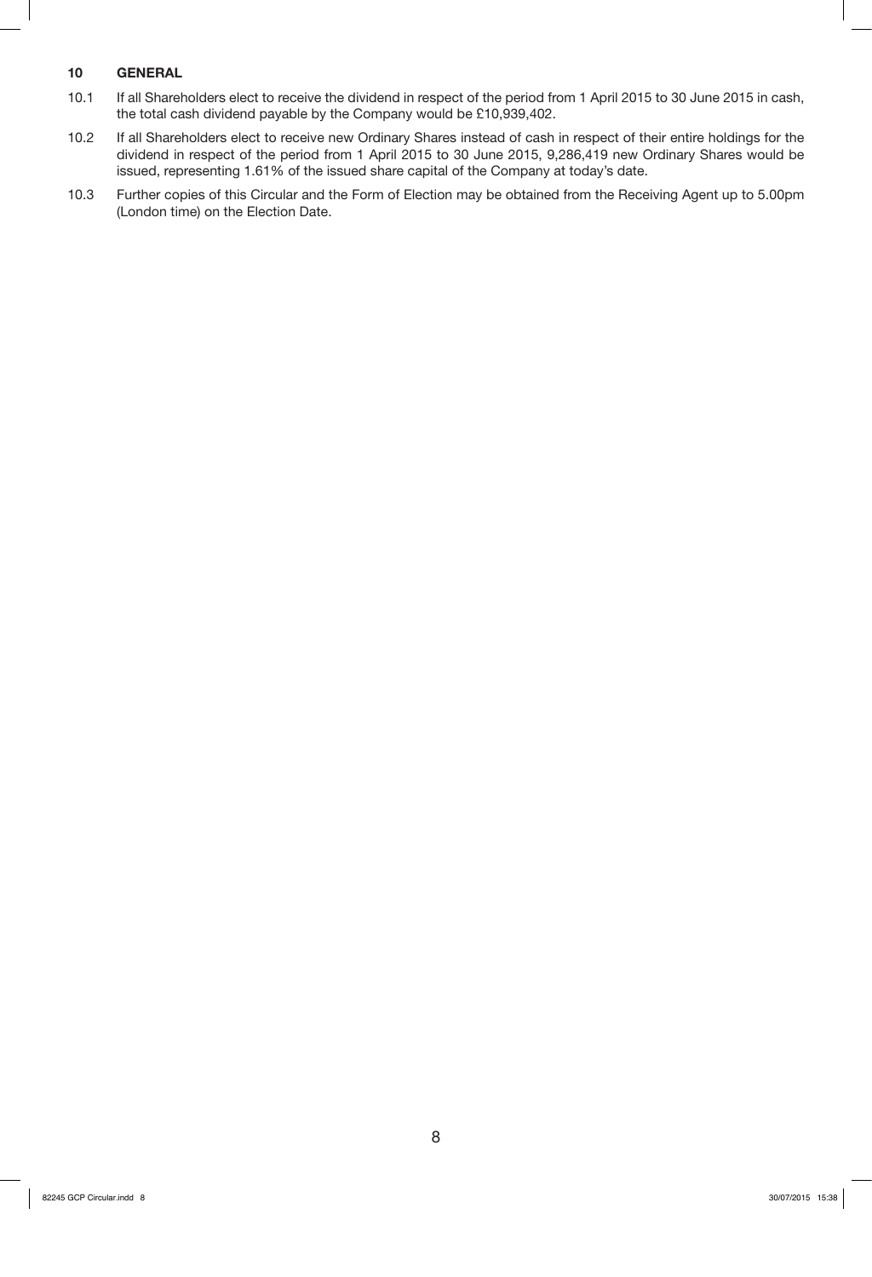# **10 GENERAL**

- 10.1 If all Shareholders elect to receive the dividend in respect of the period from 1 April 2015 to 30 June 2015 in cash, the total cash dividend payable by the Company would be £10,939,402.
- 10.2 If all Shareholders elect to receive new Ordinary Shares instead of cash in respect of their entire holdings for the dividend in respect of the period from 1 April 2015 to 30 June 2015, 9,286,419 new Ordinary Shares would be issued, representing 1.61% of the issued share capital of the Company at today's date.
- 10.3 Further copies of this Circular and the Form of Election may be obtained from the Receiving Agent up to 5.00pm (London time) on the Election Date.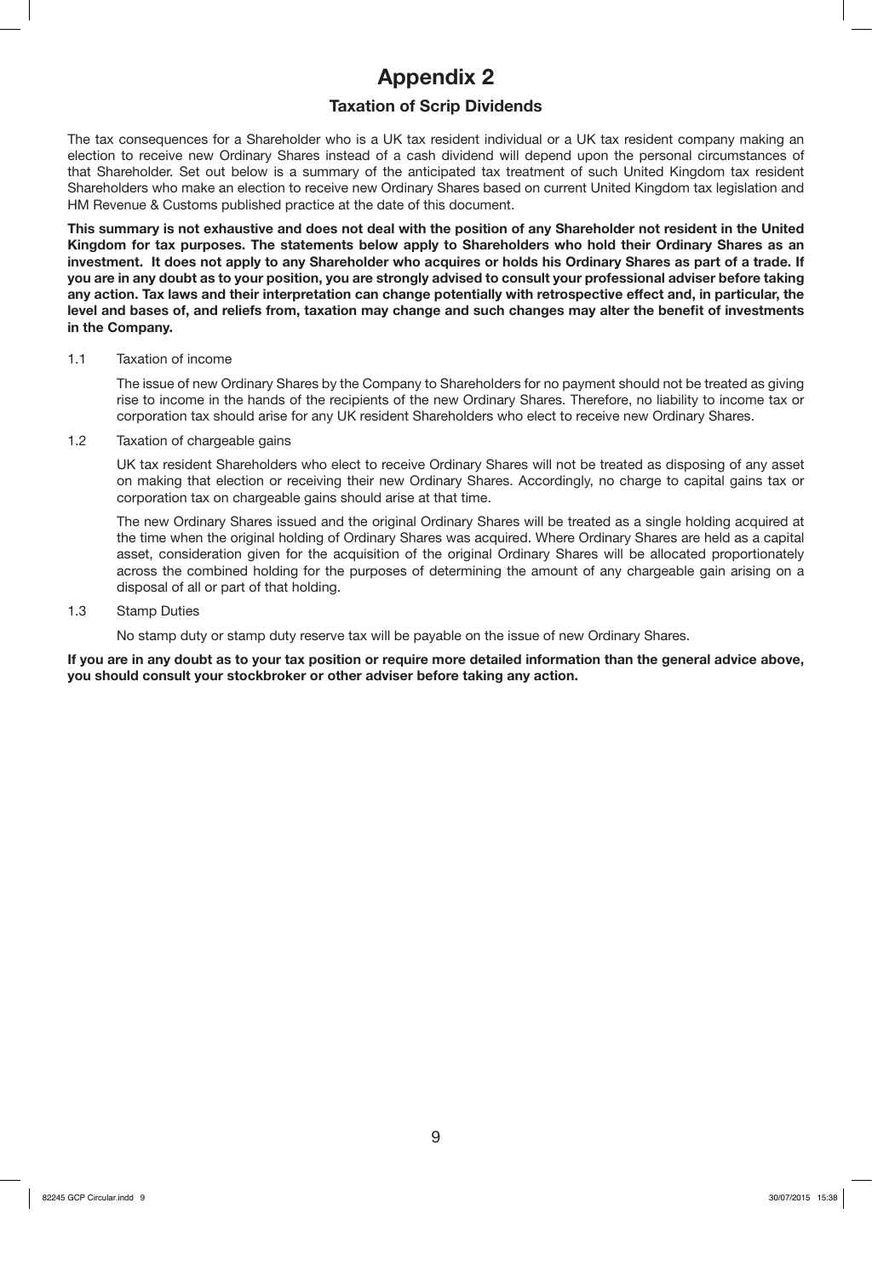# **Appendix 2**

# **Taxation of Scrip Dividends**

The tax consequences for a Shareholder who is a UK tax resident individual or a UK tax resident company making an election to receive new Ordinary Shares instead of a cash dividend will depend upon the personal circumstances of that Shareholder. Set out below is a summary of the anticipated tax treatment of such United Kingdom tax resident Shareholders who make an election to receive new Ordinary Shares based on current United Kingdom tax legislation and HM Revenue & Customs published practice at the date of this document.

**This summary is not exhaustive and does not deal with the position of any Shareholder not resident in the United Kingdom for tax purposes. The statements below apply to Shareholders who hold their Ordinary Shares as an investment. It does not apply to any Shareholder who acquires or holds his Ordinary Shares as part of a trade. If you are in any doubt as to your position, you are strongly advised to consult your professional adviser before taking any action. Tax laws and their interpretation can change potentially with retrospective effect and, in particular, the level and bases of, and reliefs from, taxation may change and such changes may alter the benefit of investments in the Company.**

#### 1.1 Taxation of income

The issue of new Ordinary Shares by the Company to Shareholders for no payment should not be treated as giving rise to income in the hands of the recipients of the new Ordinary Shares. Therefore, no liability to income tax or corporation tax should arise for any UK resident Shareholders who elect to receive new Ordinary Shares.

1.2 Taxation of chargeable gains

UK tax resident Shareholders who elect to receive Ordinary Shares will not be treated as disposing of any asset on making that election or receiving their new Ordinary Shares. Accordingly, no charge to capital gains tax or corporation tax on chargeable gains should arise at that time.

The new Ordinary Shares issued and the original Ordinary Shares will be treated as a single holding acquired at the time when the original holding of Ordinary Shares was acquired. Where Ordinary Shares are held as a capital asset, consideration given for the acquisition of the original Ordinary Shares will be allocated proportionately across the combined holding for the purposes of determining the amount of any chargeable gain arising on a disposal of all or part of that holding.

### 1.3 Stamp Duties

No stamp duty or stamp duty reserve tax will be payable on the issue of new Ordinary Shares.

**If you are in any doubt as to your tax position or require more detailed information than the general advice above, you should consult your stockbroker or other adviser before taking any action.**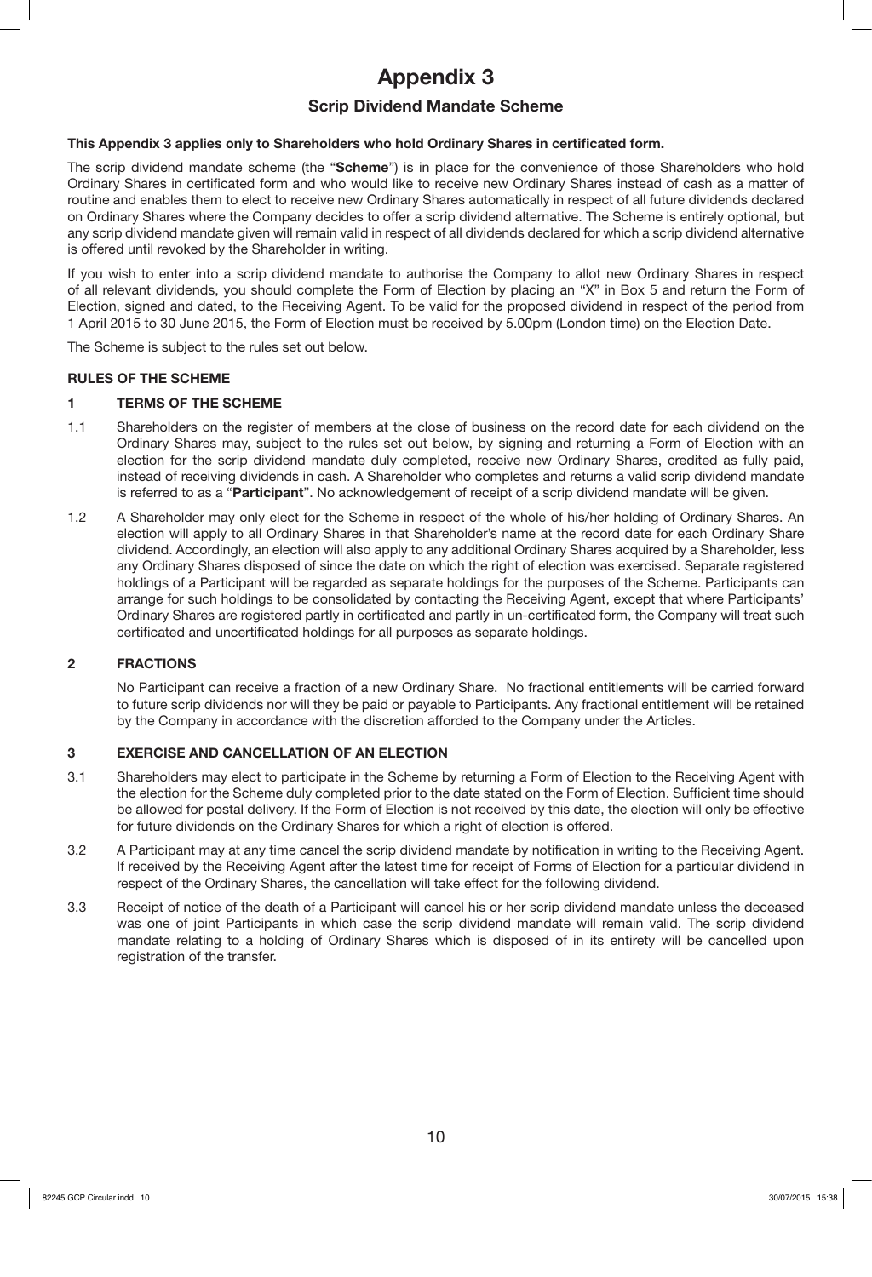# **Appendix 3**

# **Scrip Dividend Mandate Scheme**

# **This Appendix 3 applies only to Shareholders who hold Ordinary Shares in certificated form.**

The scrip dividend mandate scheme (the "**Scheme**") is in place for the convenience of those Shareholders who hold Ordinary Shares in certificated form and who would like to receive new Ordinary Shares instead of cash as a matter of routine and enables them to elect to receive new Ordinary Shares automatically in respect of all future dividends declared on Ordinary Shares where the Company decides to offer a scrip dividend alternative. The Scheme is entirely optional, but any scrip dividend mandate given will remain valid in respect of all dividends declared for which a scrip dividend alternative is offered until revoked by the Shareholder in writing.

If you wish to enter into a scrip dividend mandate to authorise the Company to allot new Ordinary Shares in respect of all relevant dividends, you should complete the Form of Election by placing an "X" in Box 5 and return the Form of Election, signed and dated, to the Receiving Agent. To be valid for the proposed dividend in respect of the period from 1 April 2015 to 30 June 2015, the Form of Election must be received by 5.00pm (London time) on the Election Date.

The Scheme is subject to the rules set out below.

# **RULES OF THE SCHEME**

# **1 TERMS OF THE SCHEME**

- 1.1 Shareholders on the register of members at the close of business on the record date for each dividend on the Ordinary Shares may, subject to the rules set out below, by signing and returning a Form of Election with an election for the scrip dividend mandate duly completed, receive new Ordinary Shares, credited as fully paid, instead of receiving dividends in cash. A Shareholder who completes and returns a valid scrip dividend mandate is referred to as a "**Participant**". No acknowledgement of receipt of a scrip dividend mandate will be given.
- 1.2 A Shareholder may only elect for the Scheme in respect of the whole of his/her holding of Ordinary Shares. An election will apply to all Ordinary Shares in that Shareholder's name at the record date for each Ordinary Share dividend. Accordingly, an election will also apply to any additional Ordinary Shares acquired by a Shareholder, less any Ordinary Shares disposed of since the date on which the right of election was exercised. Separate registered holdings of a Participant will be regarded as separate holdings for the purposes of the Scheme. Participants can arrange for such holdings to be consolidated by contacting the Receiving Agent, except that where Participants' Ordinary Shares are registered partly in certificated and partly in un-certificated form, the Company will treat such certificated and uncertificated holdings for all purposes as separate holdings.

### **2 FRACTIONS**

No Participant can receive a fraction of a new Ordinary Share. No fractional entitlements will be carried forward to future scrip dividends nor will they be paid or payable to Participants. Any fractional entitlement will be retained by the Company in accordance with the discretion afforded to the Company under the Articles.

# **3 EXERCISE AND CANCELLATION OF AN ELECTION**

- 3.1 Shareholders may elect to participate in the Scheme by returning a Form of Election to the Receiving Agent with the election for the Scheme duly completed prior to the date stated on the Form of Election. Sufficient time should be allowed for postal delivery. If the Form of Election is not received by this date, the election will only be effective for future dividends on the Ordinary Shares for which a right of election is offered.
- 3.2 A Participant may at any time cancel the scrip dividend mandate by notification in writing to the Receiving Agent. If received by the Receiving Agent after the latest time for receipt of Forms of Election for a particular dividend in respect of the Ordinary Shares, the cancellation will take effect for the following dividend.
- 3.3 Receipt of notice of the death of a Participant will cancel his or her scrip dividend mandate unless the deceased was one of joint Participants in which case the scrip dividend mandate will remain valid. The scrip dividend mandate relating to a holding of Ordinary Shares which is disposed of in its entirety will be cancelled upon registration of the transfer.